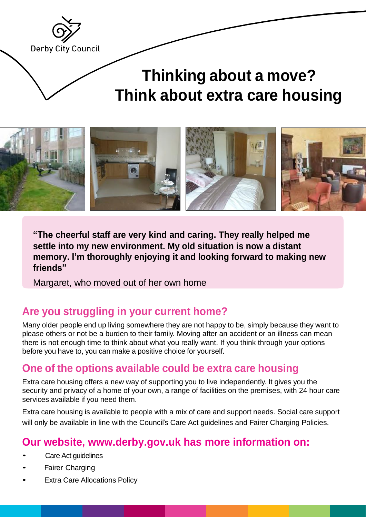

# **Thinking about a move? Think about extra care housing**



**"The cheerful staff are very kind and caring. They really helped me settle into my new environment. My old situation is now a distant memory. I'm thoroughly enjoying it and looking forward to making new friends"**

Margaret, who moved out of her own home

### **Are you struggling in your current home?**

Many older people end up living somewhere they are not happy to be, simply because they want to please others or not be a burden to their family. Moving after an accident or an illness can mean there is not enough time to think about what you really want. If you think through your options before you have to, you can make a positive choice for yourself.

### **One of the options available could be extra care housing**

Extra care housing offers a new way of supporting you to live independently. It gives you the security and privacy of a home of your own, a range of facilities on the premises, with 24 hour care services available if you need them.

Extra care housing is available to people with a mix of care and support needs. Social care support will only be available in line with the Council's Care Act guidelines and Fairer Charging Policies.

### **Our website, [www.derby.gov.uk h](http://www.derby.gov.uk/)as more information on:**

- **Care Act quidelines**
- **Fairer Charging**
- **Extra Care Allocations Policy**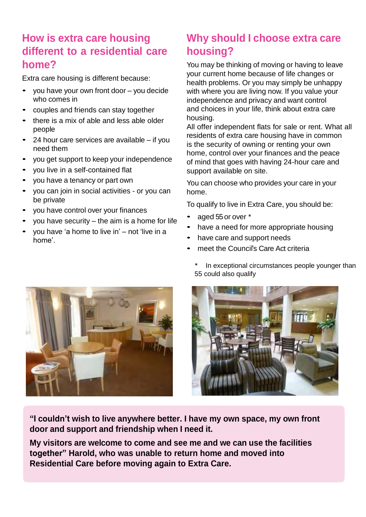### **How is extra care housing different to a residential care home?**

Extra care housing is different because:

- you have your own front door you decide who comes in
- couples and friends can stay together
- there is <sup>a</sup> mix of able and less able older people
- <sup>24</sup> hour care services are available if you need them
- you get support to keep your independence
- you live in a self-contained flat
- you have <sup>a</sup> tenancy or part own
- you can join in social activities or you can be private
- you have control over your finances
- you have security  $-$  the aim is a home for life
- you have 'a home to live in' not 'live in <sup>a</sup> home'.

### **Why should I choose extra care housing?**

You may be thinking of moving or having to leave your current home because of life changes or health problems. Or you may simply be unhappy with where you are living now. If you value your independence and privacy and want control and choices in your life, think about extra care housing.

All offer independent flats for sale or rent. What all residents of extra care housing have in common is the security of owning or renting your own home, control over your finances and the peace of mind that goes with having 24-hour care and support available on site.

You can choose who provides your care in your home.

To qualify to live in Extra Care, you should be:

- aged 55or over \*
- have <sup>a</sup> need for more appropriate housing
- have care and support needs
- meet the Council's Care Act criteria



In exceptional circumstances people younger than 55 could also qualify



**"I couldn't wish to live anywhere better. I have my own space, my own front door and support and friendship when I need it.**

**My visitors are welcome to come and see me and we can use the facilities together" Harold, who was unable to return home and moved into Residential Care before moving again to Extra Care.**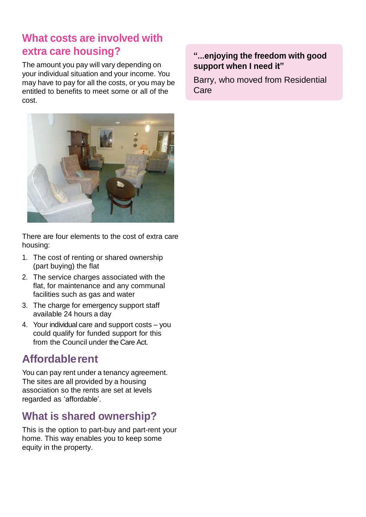### **What costs are involved with extra care housing?**

The amount you pay will vary depending on your individual situation and your income. You may have to pay for all the costs, or you may be entitled to benefits to meet some or all of the cost.



There are four elements to the cost of extra care housing:

- 1. The cost of renting or shared ownership (part buying) the flat
- 2. The service charges associated with the flat, for maintenance and any communal facilities such as gas and water
- 3. The charge for emergency support staff available 24 hours a day
- 4. Your individual care and support costs you could qualify for funded support for this from the Council under the Care Act.

## **Affordablerent**

You can pay rent under a tenancy agreement. The sites are all provided by a housing association so the rents are set at levels regarded as 'affordable'.

## **What is shared ownership?**

This is the option to part-buy and part-rent your home. This way enables you to keep some equity in the property.

### **"...enjoying the freedom with good support when I need it"**

Barry, who moved from Residential Care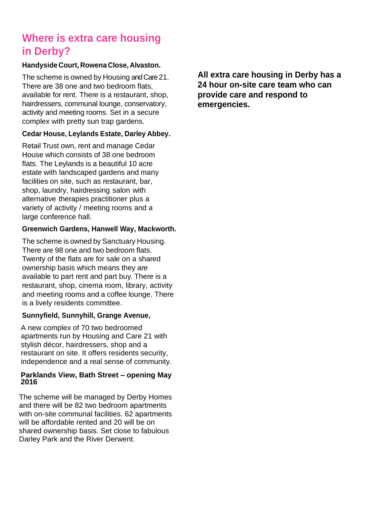## **Where is extra care housing in Derby?**

#### **Handyside Court, Rowena Close, Alvaston.**

The scheme is owned by Housing and Care 21. There are 38 one and two bedroom flats, available for rent. There is a restaurant, shop, hairdressers, communal lounge, conservatory, activity and meeting rooms. Set in a secure complex with pretty sun trap gardens.

### **Cedar House, Leylands Estate, Darley Abbey.**

Retail Trust own, rent and manage Cedar House which consists of 38 one bedroom flats. The Leylands is a beautiful 10 acre estate with landscaped gardens and many facilities on site, such as restaurant, bar, shop, laundry, hairdressing salon with alternative therapies practitioner plus a variety of activity / meeting rooms and a large conference hall.

#### **Greenwich Gardens, Hanwell Way, Mackworth.**

The scheme is owned by Sanctuary Housing. There are 98 one and two bedroom flats. Twenty of the flats are for sale on a shared ownership basis which means they are available to part rent and part buy. There is a restaurant, shop, cinema room, library, activity and meeting rooms and a coffee lounge. There is a lively residents committee.

#### **Sunnyfield, Sunnyhill, Grange Avenue,**

A new complex of 70 two bedroomed apartments run by Housing and Care 21 with stylish décor, hairdressers, shop and a restaurant on site. It offers residents security, independence and a real sense of community.

#### **Parklands View, Bath Street – opening May 2016**

The scheme will be managed by Derby Homes and there will be 82 two bedroom apartments with on-site communal facilities. 62 apartments will be affordable rented and 20 will be on shared ownership basis. Set close to fabulous Darley Park and the River Derwent.

**All extra care housing in Derby has a 24 hour on-site care team who can provide care and respond to emergencies.**